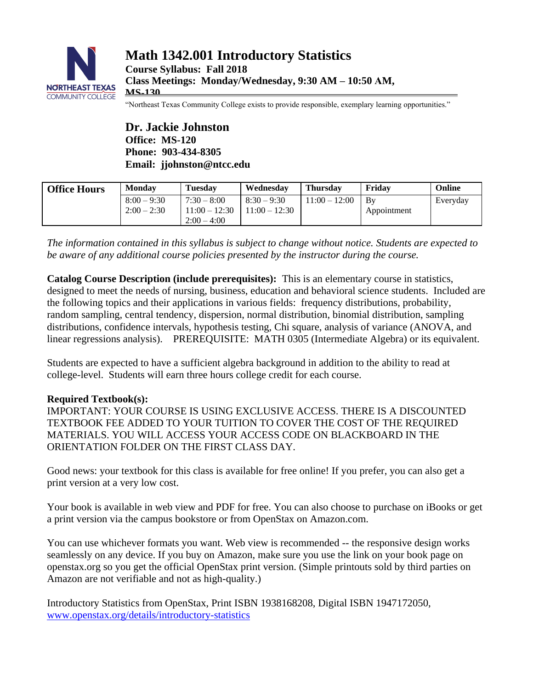

"Northeast Texas Community College exists to provide responsible, exemplary learning opportunities."

**Dr. Jackie Johnston Office: MS-120 Phone: 903-434-8305 Email: jjohnston@ntcc.edu**

| <b>Office Hours</b> | <b>Monday</b>                  | Tuesdav                          | Wednesday                        | Thursdav        | Fridav            | Online   |
|---------------------|--------------------------------|----------------------------------|----------------------------------|-----------------|-------------------|----------|
|                     | $8:00 - 9:30$<br>$2:00 - 2:30$ | $7:30 - 8:00$<br>$11:00 - 12:30$ | $8:30 - 9:30$<br>$11:00 - 12:30$ | $11:00 - 12:00$ | Bv<br>Appointment | Everyday |
|                     |                                | $2:00 - 4:00$                    |                                  |                 |                   |          |

*The information contained in this syllabus is subject to change without notice. Students are expected to be aware of any additional course policies presented by the instructor during the course.*

**Catalog Course Description (include prerequisites):** This is an elementary course in statistics, designed to meet the needs of nursing, business, education and behavioral science students. Included are the following topics and their applications in various fields: frequency distributions, probability, random sampling, central tendency, dispersion, normal distribution, binomial distribution, sampling distributions, confidence intervals, hypothesis testing, Chi square, analysis of variance (ANOVA, and linear regressions analysis). PREREQUISITE: MATH 0305 (Intermediate Algebra) or its equivalent.

Students are expected to have a sufficient algebra background in addition to the ability to read at college-level. Students will earn three hours college credit for each course.

# **Required Textbook(s):**

IMPORTANT: YOUR COURSE IS USING EXCLUSIVE ACCESS. THERE IS A DISCOUNTED TEXTBOOK FEE ADDED TO YOUR TUITION TO COVER THE COST OF THE REQUIRED MATERIALS. YOU WILL ACCESS YOUR ACCESS CODE ON BLACKBOARD IN THE ORIENTATION FOLDER ON THE FIRST CLASS DAY.

Good news: your textbook for this class is available for free online! If you prefer, you can also get a print version at a very low cost.

Your book is available in web view and PDF for free. You can also choose to purchase on iBooks or get a print version via the campus bookstore or from OpenStax on Amazon.com.

You can use whichever formats you want. Web view is recommended -- the responsive design works seamlessly on any device. If you buy on Amazon, make sure you use the link on your book page on openstax.org so you get the official OpenStax print version. (Simple printouts sold by third parties on Amazon are not verifiable and not as high-quality.)

Introductory Statistics from OpenStax, Print ISBN 1938168208, Digital ISBN 1947172050, [www.openstax.org/details/introductory-statistics](http://www.openstax.org/details/introductory-statistics)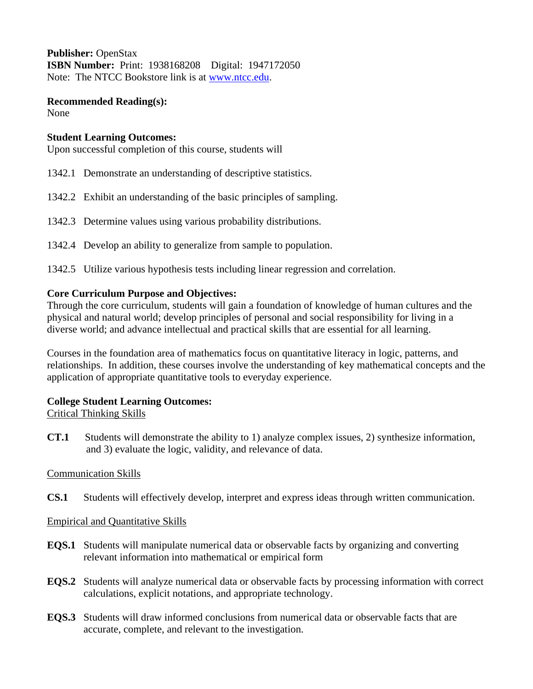**Publisher:** OpenStax **ISBN Number:** Print:1938168208 Digital: 1947172050 Note: The NTCC Bookstore link is at [www.ntcc.edu.](http://www.ntcc.edu/)

**Recommended Reading(s):** None

#### **Student Learning Outcomes:**

Upon successful completion of this course, students will

- 1342.1 Demonstrate an understanding of descriptive statistics.
- 1342.2 Exhibit an understanding of the basic principles of sampling.
- 1342.3 Determine values using various probability distributions.
- 1342.4 Develop an ability to generalize from sample to population.
- 1342.5 Utilize various hypothesis tests including linear regression and correlation.

#### **Core Curriculum Purpose and Objectives:**

Through the core curriculum, students will gain a foundation of knowledge of human cultures and the physical and natural world; develop principles of personal and social responsibility for living in a diverse world; and advance intellectual and practical skills that are essential for all learning.

Courses in the foundation area of mathematics focus on quantitative literacy in logic, patterns, and relationships. In addition, these courses involve the understanding of key mathematical concepts and the application of appropriate quantitative tools to everyday experience.

# **College Student Learning Outcomes:**

#### Critical Thinking Skills

**CT.1** Students will demonstrate the ability to 1) analyze complex issues, 2) synthesize information, and 3) evaluate the logic, validity, and relevance of data.

# Communication Skills

**CS.1** Students will effectively develop, interpret and express ideas through written communication.

# Empirical and Quantitative Skills

- **EQS.1** Students will manipulate numerical data or observable facts by organizing and converting relevant information into mathematical or empirical form
- **EQS.2** Students will analyze numerical data or observable facts by processing information with correct calculations, explicit notations, and appropriate technology.
- **EQS.3** Students will draw informed conclusions from numerical data or observable facts that are accurate, complete, and relevant to the investigation.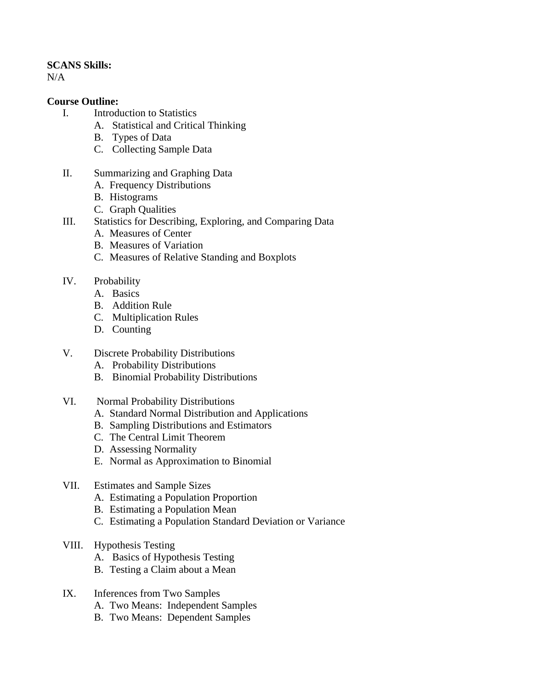#### **SCANS Skills:**

N/A

#### **Course Outline:**

- I. Introduction to Statistics
	- A. Statistical and Critical Thinking
		- B. Types of Data
		- C. Collecting Sample Data
- II. Summarizing and Graphing Data
	- A. Frequency Distributions
	- B. Histograms
	- C. Graph Qualities
- III. Statistics for Describing, Exploring, and Comparing Data
	- A. Measures of Center
	- B. Measures of Variation
	- C. Measures of Relative Standing and Boxplots
- IV. Probability
	- A. Basics
	- B. Addition Rule
	- C. Multiplication Rules
	- D. Counting
- V. Discrete Probability Distributions
	- A. Probability Distributions
	- B. Binomial Probability Distributions
- VI. Normal Probability Distributions
	- A. Standard Normal Distribution and Applications
	- B. Sampling Distributions and Estimators
	- C. The Central Limit Theorem
	- D. Assessing Normality
	- E. Normal as Approximation to Binomial

#### VII. Estimates and Sample Sizes

- A. Estimating a Population Proportion
- B. Estimating a Population Mean
- C. Estimating a Population Standard Deviation or Variance
- VIII. Hypothesis Testing
	- A. Basics of Hypothesis Testing
	- B. Testing a Claim about a Mean

#### IX. Inferences from Two Samples

- A. Two Means: Independent Samples
- B. Two Means: Dependent Samples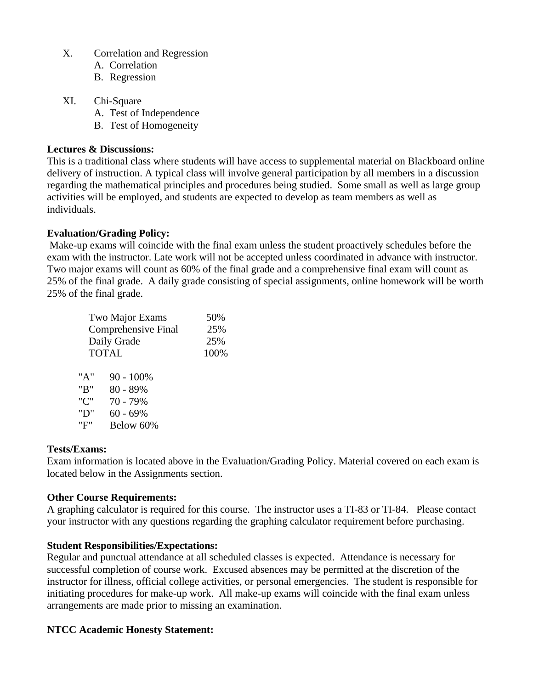- X. Correlation and Regression
	- A. Correlation
	- B. Regression
- XI. Chi-Square
	- A. Test of Independence
	- B. Test of Homogeneity

#### **Lectures & Discussions:**

This is a traditional class where students will have access to supplemental material on Blackboard online delivery of instruction. A typical class will involve general participation by all members in a discussion regarding the mathematical principles and procedures being studied. Some small as well as large group activities will be employed, and students are expected to develop as team members as well as individuals.

# **Evaluation/Grading Policy:**

Make-up exams will coincide with the final exam unless the student proactively schedules before the exam with the instructor. Late work will not be accepted unless coordinated in advance with instructor. Two major exams will count as 60% of the final grade and a comprehensive final exam will count as 25% of the final grade. A daily grade consisting of special assignments, online homework will be worth 25% of the final grade.

| Two Major Exams     |                                                              |  |  |  |
|---------------------|--------------------------------------------------------------|--|--|--|
| Comprehensive Final |                                                              |  |  |  |
| Daily Grade         |                                                              |  |  |  |
| <b>TOTAL</b>        |                                                              |  |  |  |
|                     |                                                              |  |  |  |
|                     |                                                              |  |  |  |
|                     |                                                              |  |  |  |
|                     |                                                              |  |  |  |
|                     |                                                              |  |  |  |
|                     |                                                              |  |  |  |
|                     | 90 - 100%<br>80 - 89%<br>70 - 79%<br>$60 - 69%$<br>Below 60% |  |  |  |

#### **Tests/Exams:**

Exam information is located above in the Evaluation/Grading Policy. Material covered on each exam is located below in the Assignments section.

# **Other Course Requirements:**

A graphing calculator is required for this course. The instructor uses a TI-83 or TI-84. Please contact your instructor with any questions regarding the graphing calculator requirement before purchasing.

# **Student Responsibilities/Expectations:**

Regular and punctual attendance at all scheduled classes is expected. Attendance is necessary for successful completion of course work. Excused absences may be permitted at the discretion of the instructor for illness, official college activities, or personal emergencies. The student is responsible for initiating procedures for make-up work. All make-up exams will coincide with the final exam unless arrangements are made prior to missing an examination.

# **NTCC Academic Honesty Statement:**